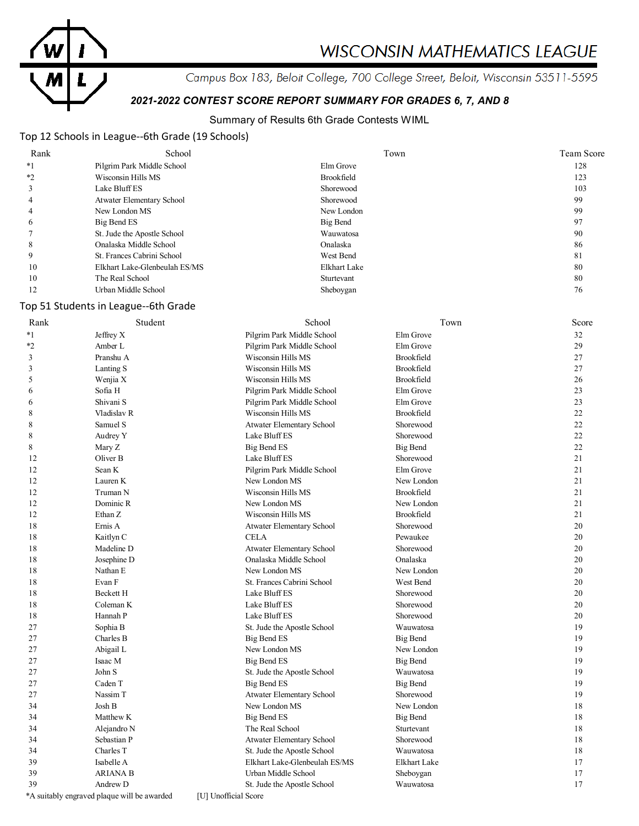

# **WISCONSIN MATHEMATICS LEAGUE**

Campus Box 183, Beloit College, 700 College Street, Beloit, Wisconsin 53511-5595

# *2021-2022 CONTEST SCORE REPORT SUMMARY FOR GRADES 6, 7, AND 8*

# Summary of Results 6th Grade Contests WIML

# Top 12 Schools in League--6th Grade (19 Schools)

| Rank | School                        | Town         | Team Score |
|------|-------------------------------|--------------|------------|
| $*1$ | Pilgrim Park Middle School    | Elm Grove    | 128        |
| $*2$ | Wisconsin Hills MS            | Brookfield   | 123        |
|      | Lake Bluff ES                 | Shorewood    | 103        |
| 4    | Atwater Elementary School     | Shorewood    | 99         |
| 4    | New London MS                 | New London   | 99         |
| O    | Big Bend ES                   | Big Bend     | 97         |
|      | St. Jude the Apostle School   | Wauwatosa    | 90         |
| 8    | Onalaska Middle School        | Onalaska     | 86         |
| 9    | St. Frances Cabrini School    | West Bend    | 81         |
| 10   | Elkhart Lake-Glenbeulah ES/MS | Elkhart Lake | 80         |
| 10   | The Real School               | Sturtevant   | 80         |
| 12   | Urban Middle School           | Sheboygan    | 76         |

## Top 51 Students in League--6th Grade

| Rank    | Student                                     | School                           | Town            | Score |
|---------|---------------------------------------------|----------------------------------|-----------------|-------|
| $*1$    | Jeffrey X                                   | Pilgrim Park Middle School       | Elm Grove       | 32    |
| $*_{2}$ | Amber L                                     | Pilgrim Park Middle School       | Elm Grove       | 29    |
| 3       | Pranshu A                                   | Wisconsin Hills MS               | Brookfield      | 27    |
| 3       | Lanting S                                   | Wisconsin Hills MS               | Brookfield      | 27    |
| 5       | Wenjia X                                    | Wisconsin Hills MS               | Brookfield      | 26    |
| 6       | Sofia H                                     | Pilgrim Park Middle School       | Elm Grove       | 23    |
| 6       | Shivani S                                   | Pilgrim Park Middle School       | Elm Grove       | 23    |
| 8       | Vladislav R                                 | Wisconsin Hills MS               | Brookfield      | 22    |
| 8       | Samuel S                                    | <b>Atwater Elementary School</b> | Shorewood       | 22    |
| 8       | Audrey Y                                    | Lake Bluff ES                    | Shorewood       | 22    |
| 8       | Mary Z                                      | <b>Big Bend ES</b>               | <b>Big Bend</b> | 22    |
| 12      | Oliver B                                    | Lake Bluff ES                    | Shorewood       | 21    |
| 12      | Sean K                                      | Pilgrim Park Middle School       | Elm Grove       | 21    |
| 12      | Lauren K                                    | New London MS                    | New London      | 21    |
| 12      | Truman N                                    | Wisconsin Hills MS               | Brookfield      | 21    |
| 12      | Dominic R                                   | New London MS                    | New London      | 21    |
| 12      | Ethan Z                                     | Wisconsin Hills MS               | Brookfield      | 21    |
| 18      | Ernis A                                     | Atwater Elementary School        | Shorewood       | 20    |
| 18      | Kaitlyn C                                   | <b>CELA</b>                      | Pewaukee        | 20    |
| 18      | Madeline D                                  | Atwater Elementary School        | Shorewood       | 20    |
| 18      | Josephine D                                 | Onalaska Middle School           | Onalaska        | 20    |
| 18      | Nathan E                                    | New London MS                    | New London      | 20    |
| 18      | Evan F                                      | St. Frances Cabrini School       | West Bend       | 20    |
| 18      | <b>Beckett H</b>                            | Lake Bluff ES                    | Shorewood       | 20    |
| 18      | Coleman K                                   | Lake Bluff ES                    | Shorewood       | 20    |
| 18      | Hannah P                                    | Lake Bluff ES                    | Shorewood       | 20    |
| 27      | Sophia B                                    | St. Jude the Apostle School      | Wauwatosa       | 19    |
| 27      | Charles B                                   | Big Bend ES                      | <b>Big Bend</b> | 19    |
| 27      | Abigail L                                   | New London MS                    | New London      | 19    |
| 27      | Isaac M                                     | Big Bend ES                      | <b>Big Bend</b> | 19    |
| 27      | John S                                      | St. Jude the Apostle School      | Wauwatosa       | 19    |
| 27      | Caden T                                     | Big Bend ES                      | <b>Big Bend</b> | 19    |
| 27      | Nassim T                                    | <b>Atwater Elementary School</b> | Shorewood       | 19    |
| 34      | Josh B                                      | New London MS                    | New London      | 18    |
| 34      | Matthew K                                   | <b>Big Bend ES</b>               | <b>Big Bend</b> | 18    |
| 34      | Alejandro N                                 | The Real School                  | Sturtevant      | 18    |
| 34      | Sebastian P                                 | <b>Atwater Elementary School</b> | Shorewood       | 18    |
| 34      | Charles T                                   | St. Jude the Apostle School      | Wauwatosa       | 18    |
| 39      | Isabelle A                                  | Elkhart Lake-Glenbeulah ES/MS    | Elkhart Lake    | 17    |
| 39      | <b>ARIANA B</b>                             | Urban Middle School              | Sheboygan       | 17    |
| 39      | Andrew D                                    | St. Jude the Apostle School      | Wauwatosa       | 17    |
|         | *A suitably engraved plaque will be awarded | [U] Unofficial Score             |                 |       |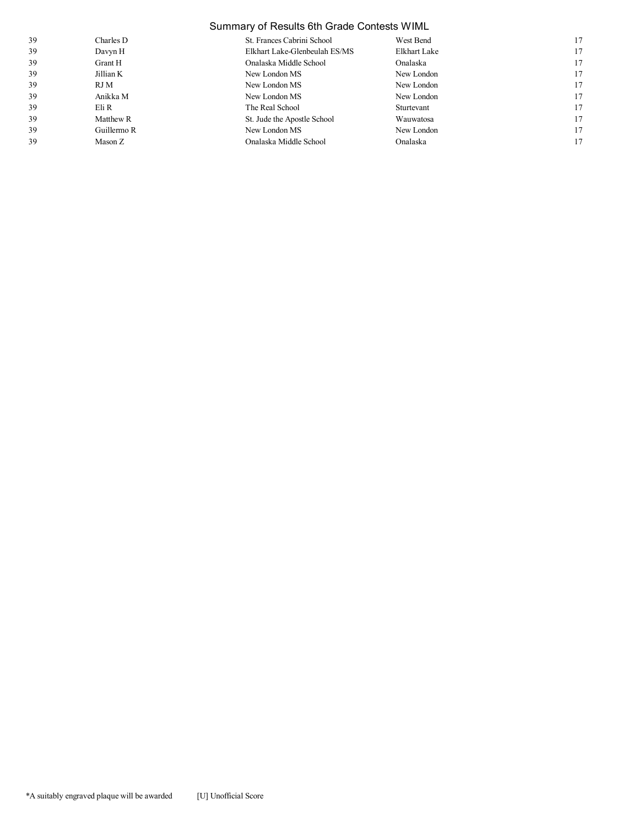|    | Summary of Results 6th Grade Contests WIML |                               |              |    |
|----|--------------------------------------------|-------------------------------|--------------|----|
| 39 | Charles D                                  | St. Frances Cabrini School    | West Bend    | 17 |
| 39 | Davyn H                                    | Elkhart Lake-Glenbeulah ES/MS | Elkhart Lake | 17 |
| 39 | Grant H                                    | Onalaska Middle School        | Onalaska     | 17 |
| 39 | Jillian K                                  | New London MS                 | New London   | 17 |
| 39 | RJ M                                       | New London MS                 | New London   | 17 |
| 39 | Anikka M                                   | New London MS                 | New London   | 17 |
| 39 | Eli R                                      | The Real School               | Sturtevant   | 17 |
| 39 | Matthew R                                  | St. Jude the Apostle School   | Wauwatosa    | 17 |
| 39 | Guillermo R                                | New London MS                 | New London   | 17 |
| 39 | Mason Z                                    | Onalaska Middle School        | Onalaska     | 17 |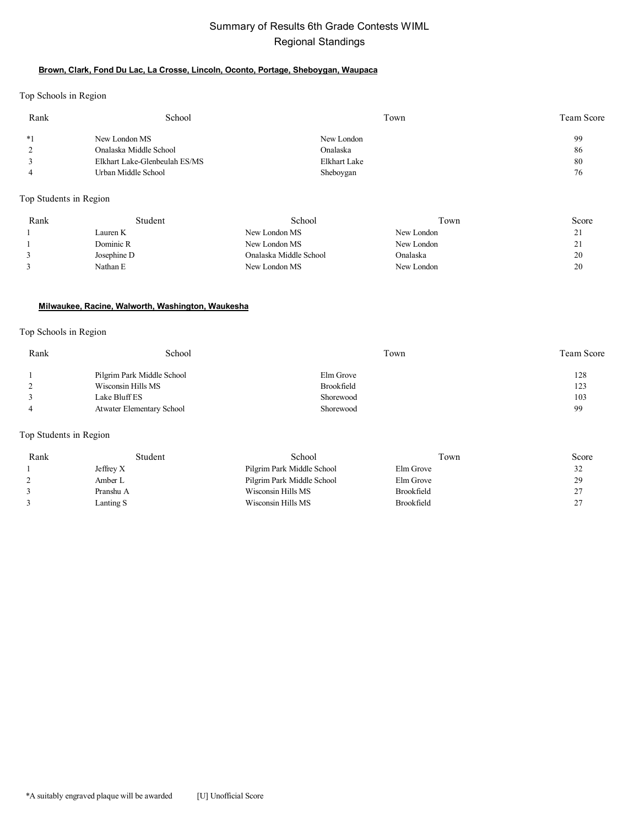# Summary of Results 6th Grade Contests WIML Regional Standings

## **Brown, Clark, Fond Du Lac, La Crosse, Lincoln, Oconto, Portage, Sheboygan, Waupaca**

Top Schools in Region

| Rank     | School                        | Town         | Team Score |
|----------|-------------------------------|--------------|------------|
| $*1$     | New London MS                 | New London   | 99         |
| $\gamma$ | Onalaska Middle School        | Onalaska     | 86         |
|          | Elkhart Lake-Glenbeulah ES/MS | Elkhart Lake | 80         |
|          | Urban Middle School           | Sheboygan    | 76         |

Top Students in Region

| Rank | Student     | School                 | Town       | Score                |
|------|-------------|------------------------|------------|----------------------|
|      | Lauren K    | New London MS          | New London | 21<br>$\overline{a}$ |
|      | Dominic R   | New London MS          | New London | 21<br>∠ ⊥            |
|      | Josephine D | Onalaska Middle School | Onalaska   | 20                   |
|      | Nathan E    | New London MS          | New London | 20                   |

## **Milwaukee, Racine, Walworth, Washington, Waukesha**

## Top Schools in Region

| Rank | School                     | Town       | <b>Team Score</b> |
|------|----------------------------|------------|-------------------|
|      | Pilgrim Park Middle School | Elm Grove  | 128               |
|      | Wisconsin Hills MS         | Brookfield | 123               |
|      | Lake Bluff ES              | Shorewood  | 103               |
|      | Atwater Elementary School  | Shorewood  | 99                |

## Top Students in Region

| Rank | Student     | School                     | Town              | Score   |
|------|-------------|----------------------------|-------------------|---------|
|      | Jeffrey $X$ | Pilgrim Park Middle School | Elm Grove         | 32      |
|      | Amber L     | Pilgrim Park Middle School | Elm Grove         | 29      |
|      | Pranshu A   | Wisconsin Hills MS         | Brookfield        | 27<br>∠ |
|      | Lanting S   | Wisconsin Hills MS         | <b>Brookfield</b> | 27<br>∠ |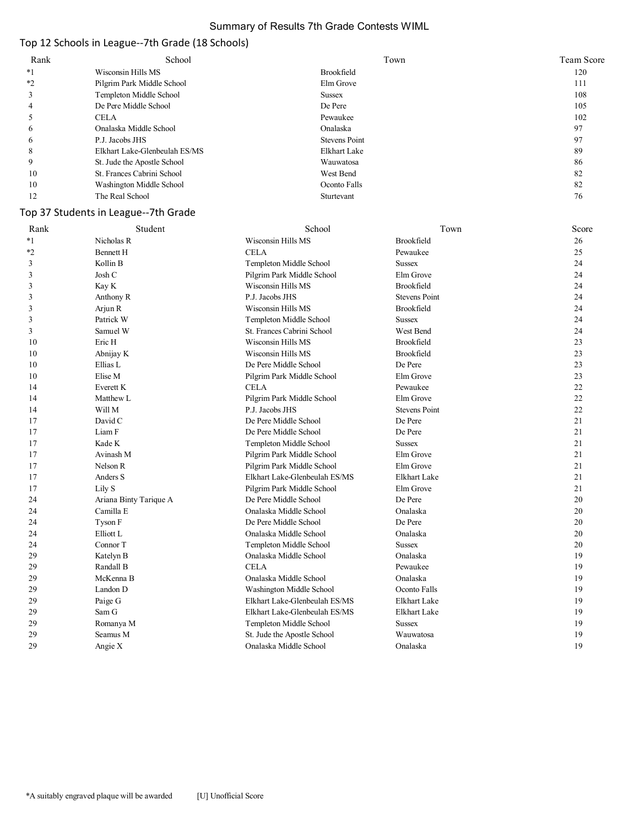## Summary of Results 7th Grade Contests WIML

# Top 12 Schools in League--7th Grade (18 Schools)

| Rank    | School                        | Town                 | <b>Team Score</b> |
|---------|-------------------------------|----------------------|-------------------|
| *1      | Wisconsin Hills MS            | Brookfield           | 120               |
| $*_{2}$ | Pilgrim Park Middle School    | Elm Grove            | 111               |
|         | Templeton Middle School       | <b>Sussex</b>        | 108               |
| 4       | De Pere Middle School         | De Pere              | 105               |
|         | <b>CELA</b>                   | Pewaukee             | 102               |
| 6       | Onalaska Middle School        | Onalaska             | 97                |
| 6       | P.J. Jacobs JHS               | <b>Stevens Point</b> | 97                |
| 8       | Elkhart Lake-Glenbeulah ES/MS | Elkhart Lake         | 89                |
|         | St. Jude the Apostle School   | Wauwatosa            | 86                |
| 10      | St. Frances Cabrini School    | West Bend            | 82                |
| 10      | Washington Middle School      | Oconto Falls         | 82                |
| 12      | The Real School               | Sturtevant           | 76                |

# Top 37 Students in League--7th Grade

| Rank    | Student                | School                        | Town                 | Score |
|---------|------------------------|-------------------------------|----------------------|-------|
| $*1$    | Nicholas R             | Wisconsin Hills MS            | Brookfield           | 26    |
| $*_{2}$ | Bennett H              | <b>CELA</b>                   | Pewaukee             | 25    |
| 3       | Kollin B               | Templeton Middle School       | <b>Sussex</b>        | 24    |
| 3       | Josh C                 | Pilgrim Park Middle School    | Elm Grove            | 24    |
| 3       | Kay K                  | Wisconsin Hills MS            | Brookfield           | 24    |
| 3       | Anthony R              | P.J. Jacobs JHS               | <b>Stevens Point</b> | 24    |
| 3       | Arjun R                | Wisconsin Hills MS            | Brookfield           | 24    |
| 3       | Patrick W              | Templeton Middle School       | <b>Sussex</b>        | 24    |
| 3       | Samuel W               | St. Frances Cabrini School    | West Bend            | 24    |
| 10      | Eric H                 | Wisconsin Hills MS            | Brookfield           | 23    |
| 10      | Abnijay K              | Wisconsin Hills MS            | Brookfield           | 23    |
| 10      | Ellias L               | De Pere Middle School         | De Pere              | 23    |
| 10      | Elise M                | Pilgrim Park Middle School    | Elm Grove            | 23    |
| 14      | Everett K              | <b>CELA</b>                   | Pewaukee             | 22    |
| 14      | Matthew L              | Pilgrim Park Middle School    | Elm Grove            | 22    |
| 14      | Will M                 | P.J. Jacobs JHS               | <b>Stevens Point</b> | 22    |
| 17      | David C                | De Pere Middle School         | De Pere              | 21    |
| 17      | Liam F                 | De Pere Middle School         | De Pere              | 21    |
| 17      | Kade K                 | Templeton Middle School       | <b>Sussex</b>        | 21    |
| 17      | Avinash M              | Pilgrim Park Middle School    | Elm Grove            | 21    |
| 17      | Nelson R               | Pilgrim Park Middle School    | Elm Grove            | 21    |
| 17      | Anders S               | Elkhart Lake-Glenbeulah ES/MS | <b>Elkhart Lake</b>  | 21    |
| 17      | Lily S                 | Pilgrim Park Middle School    | Elm Grove            | 21    |
| 24      | Ariana Binty Tarique A | De Pere Middle School         | De Pere              | 20    |
| 24      | Camilla E              | Onalaska Middle School        | Onalaska             | 20    |
| 24      | Tyson F                | De Pere Middle School         | De Pere              | 20    |
| 24      | Elliott L              | Onalaska Middle School        | Onalaska             | 20    |
| 24      | Connor T               | Templeton Middle School       | <b>Sussex</b>        | 20    |
| 29      | Katelyn B              | Onalaska Middle School        | Onalaska             | 19    |
| 29      | Randall B              | <b>CELA</b>                   | Pewaukee             | 19    |
| 29      | McKenna B              | Onalaska Middle School        | Onalaska             | 19    |
| 29      | Landon D               | Washington Middle School      | Oconto Falls         | 19    |
| 29      | Paige G                | Elkhart Lake-Glenbeulah ES/MS | Elkhart Lake         | 19    |
| 29      | Sam G                  | Elkhart Lake-Glenbeulah ES/MS | Elkhart Lake         | 19    |
| 29      | Romanya M              | Templeton Middle School       | <b>Sussex</b>        | 19    |
| 29      | Seamus M               | St. Jude the Apostle School   | Wauwatosa            | 19    |
| 29      | Angie X                | Onalaska Middle School        | Onalaska             | 19    |
|         |                        |                               |                      |       |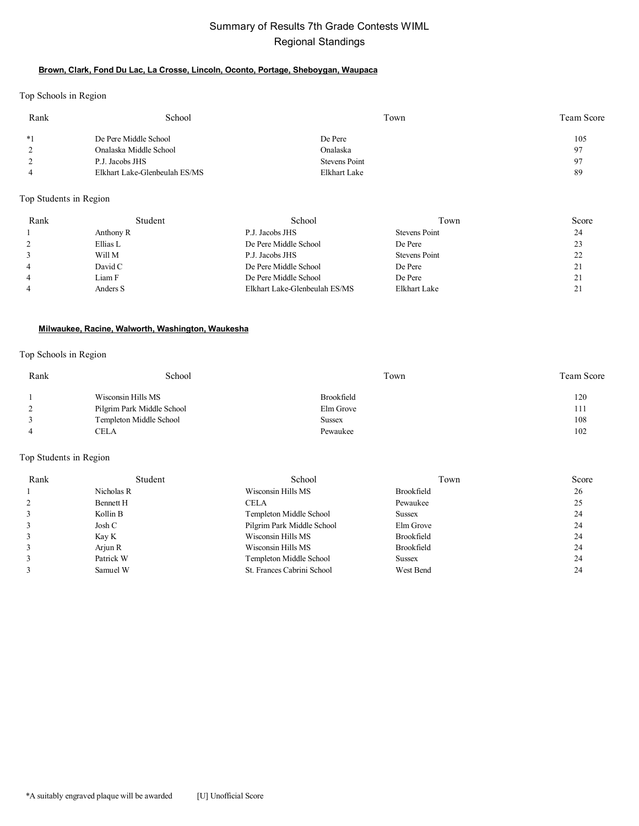# Summary of Results 7th Grade Contests WIML Regional Standings

## **Brown, Clark, Fond Du Lac, La Crosse, Lincoln, Oconto, Portage, Sheboygan, Waupaca**

Top Schools in Region

| Rank | School                        | Town                 | Team Score     |
|------|-------------------------------|----------------------|----------------|
| $*1$ | De Pere Middle School         | De Pere              | 105            |
|      | Onalaska Middle School        | Onalaska             | Q <sub>7</sub> |
|      | P.J. Jacobs JHS               | <b>Stevens Point</b> | Q7             |
|      | Elkhart Lake-Glenbeulah ES/MS | Elkhart Lake         | 89             |

## Top Students in Region

| Rank           | Student   | School                        | Town          | Score    |
|----------------|-----------|-------------------------------|---------------|----------|
|                | Anthony R | P.J. Jacobs JHS               | Stevens Point | 24       |
|                | Ellias L  | De Pere Middle School         | De Pere       | 23       |
|                | Will M    | P.J. Jacobs JHS               | Stevens Point | າາ<br>∠∠ |
| $\overline{4}$ | David C   | De Pere Middle School         | De Pere       | 21       |
| $\overline{4}$ | Liam F    | De Pere Middle School         | De Pere       | 21       |
| $\overline{4}$ | Anders S  | Elkhart Lake-Glenbeulah ES/MS | Elkhart Lake  | 21       |

## **Milwaukee, Racine, Walworth, Washington, Waukesha**

#### Top Schools in Region

| Rank | School                     | Town          | Team Score |
|------|----------------------------|---------------|------------|
|      | Wisconsin Hills MS         | Brookfield    | 120        |
|      | Pilgrim Park Middle School | Elm Grove     | 111        |
|      | Templeton Middle School    | <b>Sussex</b> | 108        |
|      | CELA                       | Pewaukee      | 102        |

## Top Students in Region

| Rank | Student    | School                     | Town          | Score |
|------|------------|----------------------------|---------------|-------|
|      | Nicholas R | Wisconsin Hills MS         | Brookfield    | 26    |
|      | Bennett H  | <b>CELA</b>                | Pewaukee      | 25    |
|      | Kollin B   | Templeton Middle School    | <b>Sussex</b> | 24    |
|      | Josh C     | Pilgrim Park Middle School | Elm Grove     | 24    |
|      | Kay K      | Wisconsin Hills MS         | Brookfield    | 24    |
|      | Arjun R    | Wisconsin Hills MS         | Brookfield    | 24    |
|      | Patrick W  | Templeton Middle School    | <b>Sussex</b> | 24    |
|      | Samuel W   | St. Frances Cabrini School | West Bend     | 24    |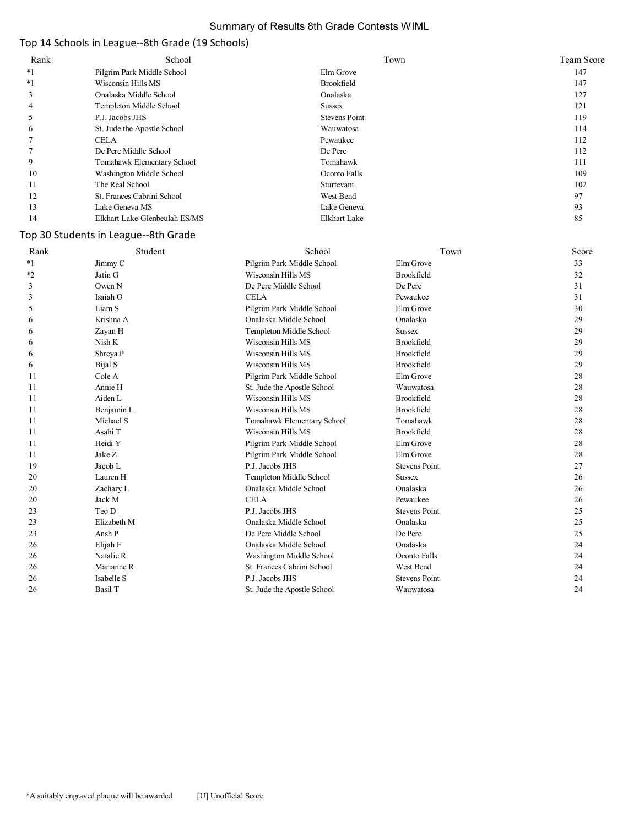## Summary of Results 8th Grade Contests WIML

# Top 14 Schools in League--8th Grade (19 Schools)

| Rank    | School                        | Town                 | Team Score |
|---------|-------------------------------|----------------------|------------|
| $*1$    | Pilgrim Park Middle School    | Elm Grove            | 147        |
| $*_{1}$ | Wisconsin Hills MS            | Brookfield           | 147        |
| 3       | Onalaska Middle School        | Onalaska             | 127        |
| 4       | Templeton Middle School       | Sussex               | 121        |
|         | P.J. Jacobs JHS               | <b>Stevens Point</b> | 119        |
| O       | St. Jude the Apostle School   | Wauwatosa            | 114        |
|         | <b>CELA</b>                   | Pewaukee             | 112        |
|         | De Pere Middle School         | De Pere              | 112        |
| 9       | Tomahawk Elementary School    | Tomahawk             | 111        |
| 10      | Washington Middle School      | Oconto Falls         | 109        |
| 11      | The Real School               | Sturtevant           | 102        |
| 12      | St. Frances Cabrini School    | West Bend            | 97         |
| 13      | Lake Geneva MS                | Lake Geneva          | 93         |
| 14      | Elkhart Lake-Glenbeulah ES/MS | <b>Elkhart Lake</b>  | 85         |

# Top 30 Students in League--8th Grade

| Rank | Student     | School                      | Town                 | Score |
|------|-------------|-----------------------------|----------------------|-------|
| $*1$ | Jimmy C     | Pilgrim Park Middle School  | Elm Grove            | 33    |
| $*2$ | Jatin G     | Wisconsin Hills MS          | Brookfield           | 32    |
| 3    | Owen N      | De Pere Middle School       | De Pere              | 31    |
| 3    | Isaiah O    | <b>CELA</b>                 | Pewaukee             | 31    |
| 5    | Liam S      | Pilgrim Park Middle School  | Elm Grove            | 30    |
| 6    | Krishna A   | Onalaska Middle School      | Onalaska             | 29    |
| 6    | Zayan H     | Templeton Middle School     | <b>Sussex</b>        | 29    |
| 6    | Nish K      | Wisconsin Hills MS          | Brookfield           | 29    |
| 6    | Shreya P    | Wisconsin Hills MS          | Brookfield           | 29    |
| 6    | Bijal S     | Wisconsin Hills MS          | <b>Brookfield</b>    | 29    |
| 11   | Cole A      | Pilgrim Park Middle School  | Elm Grove            | 28    |
| 11   | Annie H     | St. Jude the Apostle School | Wauwatosa            | 28    |
| 11   | Aiden L     | Wisconsin Hills MS          | Brookfield           | 28    |
| 11   | Benjamin L  | Wisconsin Hills MS          | Brookfield           | 28    |
| 11   | Michael S   | Tomahawk Elementary School  | Tomahawk             | 28    |
| 11   | Asahi T     | Wisconsin Hills MS          | Brookfield           | 28    |
| 11   | Heidi Y     | Pilgrim Park Middle School  | Elm Grove            | 28    |
| 11   | Jake Z      | Pilgrim Park Middle School  | Elm Grove            | 28    |
| 19   | Jacob L     | P.J. Jacobs JHS             | <b>Stevens Point</b> | 27    |
| 20   | Lauren H    | Templeton Middle School     | <b>Sussex</b>        | 26    |
| 20   | Zachary L   | Onalaska Middle School      | Onalaska             | 26    |
| 20   | Jack M      | <b>CELA</b>                 | Pewaukee             | 26    |
| 23   | Teo D       | P.J. Jacobs JHS             | <b>Stevens Point</b> | 25    |
| 23   | Elizabeth M | Onalaska Middle School      | Onalaska             | 25    |
| 23   | Ansh P      | De Pere Middle School       | De Pere              | 25    |
| 26   | Elijah F    | Onalaska Middle School      | Onalaska             | 24    |
| 26   | Natalie R   | Washington Middle School    | Oconto Falls         | 24    |
| 26   | Marianne R  | St. Frances Cabrini School  | West Bend            | 24    |
| 26   | Isabelle S  | P.J. Jacobs JHS             | <b>Stevens Point</b> | 24    |
| 26   | Basil T     | St. Jude the Apostle School | Wauwatosa            | 24    |
|      |             |                             |                      |       |